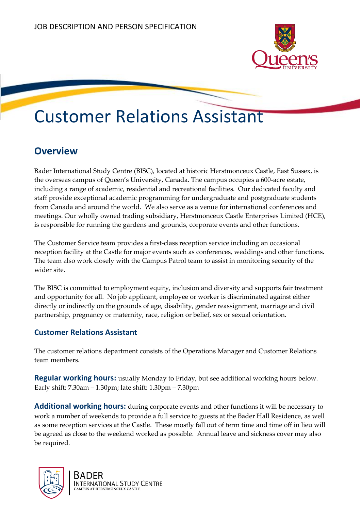

# Customer Relations Assistant

## **Overview**

Bader International Study Centre (BISC), located at historic Herstmonceux Castle, East Sussex, is the overseas campus of Queen's University, Canada. The campus occupies a 600-acre estate, including a range of academic, residential and recreational facilities. Our dedicated faculty and staff provide exceptional academic programming for undergraduate and postgraduate students from Canada and around the world. We also serve as a venue for international conferences and meetings. Our wholly owned trading subsidiary, Herstmonceux Castle Enterprises Limited (HCE), is responsible for running the gardens and grounds, corporate events and other functions.

The Customer Service team provides a first-class reception service including an occasional reception facility at the Castle for major events such as conferences, weddings and other functions. The team also work closely with the Campus Patrol team to assist in monitoring security of the wider site.

The BISC is committed to employment equity, inclusion and diversity and supports fair treatment and opportunity for all. No job applicant, employee or worker is discriminated against either directly or indirectly on the grounds of age, disability, gender reassignment, marriage and civil partnership, pregnancy or maternity, race, religion or belief, sex or sexual orientation.

### **Customer Relations Assistant**

The customer relations department consists of the Operations Manager and Customer Relations team members.

**Regular working hours:** usually Monday to Friday, but see additional working hours below. Early shift: 7.30am – 1.30pm; late shift: 1.30pm – 7.30pm

**Additional working hours:** during corporate events and other functions it will be necessary to work a number of weekends to provide a full service to guests at the Bader Hall Residence, as well as some reception services at the Castle. These mostly fall out of term time and time off in lieu will be agreed as close to the weekend worked as possible. Annual leave and sickness cover may also be required.

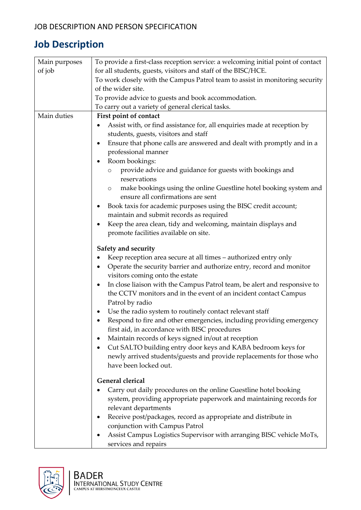## **Job Description**

| Main purposes | To provide a first-class reception service: a welcoming initial point of contact                                  |  |  |
|---------------|-------------------------------------------------------------------------------------------------------------------|--|--|
| of job        | for all students, guests, visitors and staff of the BISC/HCE.                                                     |  |  |
|               | To work closely with the Campus Patrol team to assist in monitoring security                                      |  |  |
|               | of the wider site.                                                                                                |  |  |
|               | To provide advice to guests and book accommodation.                                                               |  |  |
|               | To carry out a variety of general clerical tasks.                                                                 |  |  |
| Main duties   | First point of contact                                                                                            |  |  |
|               | Assist with, or find assistance for, all enquiries made at reception by                                           |  |  |
|               | students, guests, visitors and staff                                                                              |  |  |
|               | Ensure that phone calls are answered and dealt with promptly and in a<br>٠                                        |  |  |
|               | professional manner                                                                                               |  |  |
|               | Room bookings:<br>٠                                                                                               |  |  |
|               | provide advice and guidance for guests with bookings and<br>$\circ$                                               |  |  |
|               | reservations                                                                                                      |  |  |
|               | make bookings using the online Guestline hotel booking system and<br>$\circ$<br>ensure all confirmations are sent |  |  |
|               | Book taxis for academic purposes using the BISC credit account;<br>٠                                              |  |  |
|               | maintain and submit records as required                                                                           |  |  |
|               | Keep the area clean, tidy and welcoming, maintain displays and<br>٠                                               |  |  |
|               | promote facilities available on site.                                                                             |  |  |
|               | Safety and security                                                                                               |  |  |
|               | Keep reception area secure at all times – authorized entry only<br>٠                                              |  |  |
|               | Operate the security barrier and authorize entry, record and monitor<br>٠                                         |  |  |
|               | visitors coming onto the estate                                                                                   |  |  |
|               | In close liaison with the Campus Patrol team, be alert and responsive to<br>٠                                     |  |  |
|               | the CCTV monitors and in the event of an incident contact Campus                                                  |  |  |
|               | Patrol by radio                                                                                                   |  |  |
|               | Use the radio system to routinely contact relevant staff<br>٠                                                     |  |  |
|               | Respond to fire and other emergencies, including providing emergency                                              |  |  |
|               | first aid, in accordance with BISC procedures                                                                     |  |  |
|               | Maintain records of keys signed in/out at reception<br>٠                                                          |  |  |
|               | Cut SALTO building entry door keys and KABA bedroom keys for<br>٠                                                 |  |  |
|               | newly arrived students/guests and provide replacements for those who                                              |  |  |
|               | have been locked out.                                                                                             |  |  |
|               | <b>General clerical</b>                                                                                           |  |  |
|               | Carry out daily procedures on the online Guestline hotel booking                                                  |  |  |
|               | system, providing appropriate paperwork and maintaining records for                                               |  |  |
|               | relevant departments                                                                                              |  |  |
|               | Receive post/packages, record as appropriate and distribute in                                                    |  |  |
|               | conjunction with Campus Patrol                                                                                    |  |  |
|               | Assist Campus Logistics Supervisor with arranging BISC vehicle MoTs,                                              |  |  |
|               | services and repairs                                                                                              |  |  |

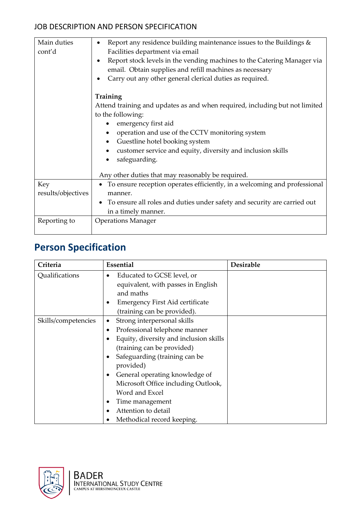### JOB DESCRIPTION AND PERSON SPECIFICATION

| Main duties<br>cont'd | Report any residence building maintenance issues to the Buildings $\&$<br>$\bullet$<br>Facilities department via email<br>Report stock levels in the vending machines to the Catering Manager via<br>$\bullet$<br>email. Obtain supplies and refill machines as necessary<br>Carry out any other general clerical duties as required. |  |  |
|-----------------------|---------------------------------------------------------------------------------------------------------------------------------------------------------------------------------------------------------------------------------------------------------------------------------------------------------------------------------------|--|--|
|                       | Training<br>Attend training and updates as and when required, including but not limited<br>to the following:<br>emergency first aid<br>operation and use of the CCTV monitoring system<br>Guestline hotel booking system<br>customer service and equity, diversity and inclusion skills<br>safeguarding.                              |  |  |
| Key                   | Any other duties that may reasonably be required.<br>To ensure reception operates efficiently, in a welcoming and professional                                                                                                                                                                                                        |  |  |
| results/objectives    | manner.                                                                                                                                                                                                                                                                                                                               |  |  |
|                       | To ensure all roles and duties under safety and security are carried out<br>in a timely manner.                                                                                                                                                                                                                                       |  |  |
| Reporting to          | <b>Operations Manager</b>                                                                                                                                                                                                                                                                                                             |  |  |

## **Person Specification**

| Criteria            | Essential                                                                                                                                                                                                                                                                                                                                                  | <b>Desirable</b> |
|---------------------|------------------------------------------------------------------------------------------------------------------------------------------------------------------------------------------------------------------------------------------------------------------------------------------------------------------------------------------------------------|------------------|
| Qualifications      | Educated to GCSE level, or<br>$\bullet$<br>equivalent, with passes in English<br>and maths<br><b>Emergency First Aid certificate</b><br>٠<br>(training can be provided).                                                                                                                                                                                   |                  |
| Skills/competencies | Strong interpersonal skills<br>٠<br>Professional telephone manner<br>Equity, diversity and inclusion skills<br>(training can be provided)<br>Safeguarding (training can be<br>provided)<br>General operating knowledge of<br>Microsoft Office including Outlook,<br>Word and Excel<br>Time management<br>Attention to detail<br>Methodical record keeping. |                  |